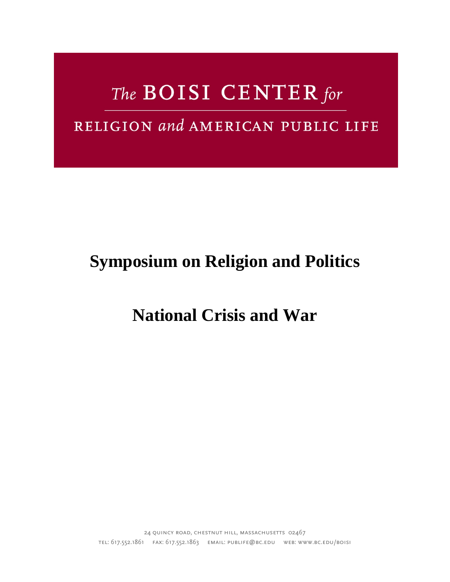# The BOISI CENTER for

# RELIGION and AMERICAN PUBLIC LIFE

# **Symposium on Religion and Politics**

# **National Crisis and War**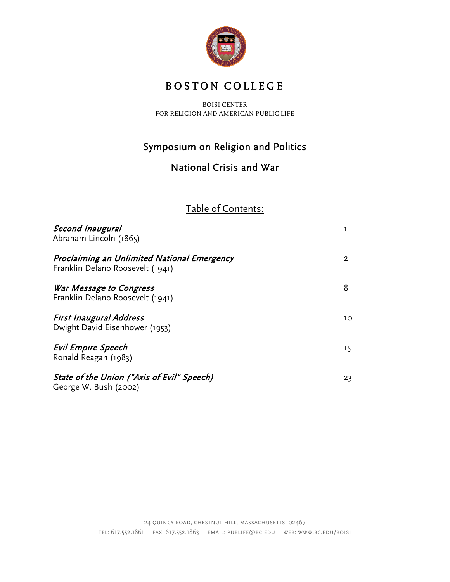

## BOSTON COLLEGE

BOISI CENTER FOR RELIGION AND AMERICAN PUBLIC LIFE

## Symposium on Religion and Politics

## National Crisis and War

## Table of Contents:

| Second Inaugural<br>Abraham Lincoln (1865)                                             |                |
|----------------------------------------------------------------------------------------|----------------|
| <b>Proclaiming an Unlimited National Emergency</b><br>Franklin Delano Roosevelt (1941) | $\overline{2}$ |
| War Message to Congress<br>Franklin Delano Roosevelt (1941)                            | 8              |
| <b>First Inaugural Address</b><br>Dwight David Eisenhower (1953)                       | 10             |
| <b>Evil Empire Speech</b><br>Ronald Reagan (1983)                                      | 15.            |
| State of the Union ("Axis of Evil" Speech)<br>George W. Bush (2002)                    | 23             |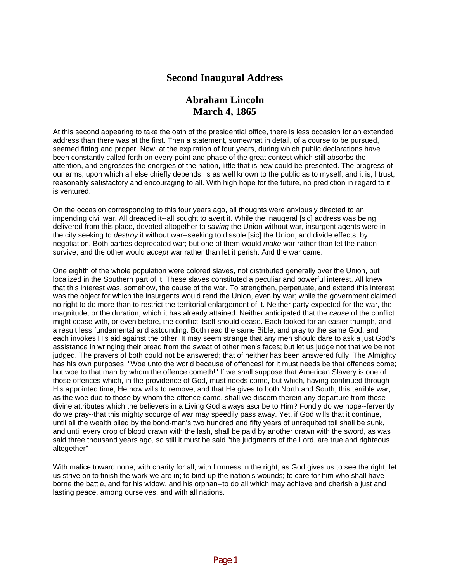#### **Second Inaugural Address**

#### **Abraham Lincoln March 4, 1865**

At this second appearing to take the oath of the presidential office, there is less occasion for an extended address than there was at the first. Then a statement, somewhat in detail, of a course to be pursued, seemed fitting and proper. Now, at the expiration of four years, during which public declarations have been constantly called forth on every point and phase of the great contest which still absorbs the attention, and engrosses the energies of the nation, little that is new could be presented. The progress of our arms, upon which all else chiefly depends, is as well known to the public as to myself; and it is, I trust, reasonably satisfactory and encouraging to all. With high hope for the future, no prediction in regard to it is ventured.

On the occasion corresponding to this four years ago, all thoughts were anxiously directed to an impending civil war. All dreaded it--all sought to avert it. While the inaugeral [sic] address was being delivered from this place, devoted altogether to *saving* the Union without war, insurgent agents were in the city seeking to *destroy* it without war--seeking to dissole [sic] the Union, and divide effects, by negotiation. Both parties deprecated war; but one of them would *make* war rather than let the nation survive; and the other would *accept* war rather than let it perish. And the war came.

One eighth of the whole population were colored slaves, not distributed generally over the Union, but localized in the Southern part of it. These slaves constituted a peculiar and powerful interest. All knew that this interest was, somehow, the cause of the war. To strengthen, perpetuate, and extend this interest was the object for which the insurgents would rend the Union, even by war; while the government claimed no right to do more than to restrict the territorial enlargement of it. Neither party expected for the war, the magnitude, or the duration, which it has already attained. Neither anticipated that the *cause* of the conflict might cease with, or even before, the conflict itself should cease. Each looked for an easier triumph, and a result less fundamental and astounding. Both read the same Bible, and pray to the same God; and each invokes His aid against the other. It may seem strange that any men should dare to ask a just God's assistance in wringing their bread from the sweat of other men's faces; but let us judge not that we be not judged. The prayers of both could not be answered; that of neither has been answered fully. The Almighty has his own purposes. "Woe unto the world because of offences! for it must needs be that offences come; but woe to that man by whom the offence cometh!" If we shall suppose that American Slavery is one of those offences which, in the providence of God, must needs come, but which, having continued through His appointed time, He now wills to remove, and that He gives to both North and South, this terrible war, as the woe due to those by whom the offence came, shall we discern therein any departure from those divine attributes which the believers in a Living God always ascribe to Him? Fondly do we hope--fervently do we pray--that this mighty scourge of war may speedily pass away. Yet, if God wills that it continue, until all the wealth piled by the bond-man's two hundred and fifty years of unrequited toil shall be sunk, and until every drop of blood drawn with the lash, shall be paid by another drawn with the sword, as was said three thousand years ago, so still it must be said "the judgments of the Lord, are true and righteous altogether"

With malice toward none; with charity for all; with firmness in the right, as God gives us to see the right, let us strive on to finish the work we are in; to bind up the nation's wounds; to care for him who shall have borne the battle, and for his widow, and his orphan--to do all which may achieve and cherish a just and lasting peace, among ourselves, and with all nations.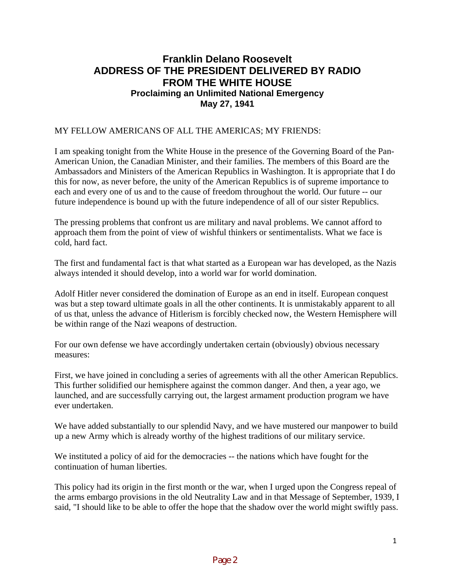### **Franklin Delano Roosevelt ADDRESS OF THE PRESIDENT DELIVERED BY RADIO FROM THE WHITE HOUSE Proclaiming an Unlimited National Emergency May 27, 1941**

#### MY FELLOW AMERICANS OF ALL THE AMERICAS; MY FRIENDS:

I am speaking tonight from the White House in the presence of the Governing Board of the Pan-American Union, the Canadian Minister, and their families. The members of this Board are the Ambassadors and Ministers of the American Republics in Washington. It is appropriate that I do this for now, as never before, the unity of the American Republics is of supreme importance to each and every one of us and to the cause of freedom throughout the world. Our future -- our future independence is bound up with the future independence of all of our sister Republics.

The pressing problems that confront us are military and naval problems. We cannot afford to approach them from the point of view of wishful thinkers or sentimentalists. What we face is cold, hard fact.

The first and fundamental fact is that what started as a European war has developed, as the Nazis always intended it should develop, into a world war for world domination.

Adolf Hitler never considered the domination of Europe as an end in itself. European conquest was but a step toward ultimate goals in all the other continents. It is unmistakably apparent to all of us that, unless the advance of Hitlerism is forcibly checked now, the Western Hemisphere will be within range of the Nazi weapons of destruction.

For our own defense we have accordingly undertaken certain (obviously) obvious necessary measures:

First, we have joined in concluding a series of agreements with all the other American Republics. This further solidified our hemisphere against the common danger. And then, a year ago, we launched, and are successfully carrying out, the largest armament production program we have ever undertaken.

We have added substantially to our splendid Navy, and we have mustered our manpower to build up a new Army which is already worthy of the highest traditions of our military service.

We instituted a policy of aid for the democracies -- the nations which have fought for the continuation of human liberties.

This policy had its origin in the first month or the war, when I urged upon the Congress repeal of the arms embargo provisions in the old Neutrality Law and in that Message of September, 1939, I said, "I should like to be able to offer the hope that the shadow over the world might swiftly pass.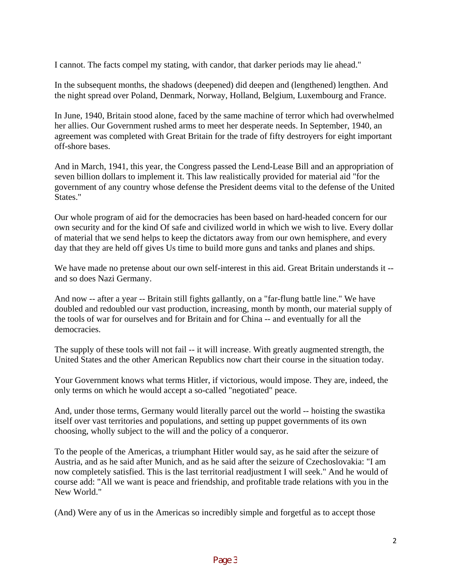I cannot. The facts compel my stating, with candor, that darker periods may lie ahead."

In the subsequent months, the shadows (deepened) did deepen and (lengthened) lengthen. And the night spread over Poland, Denmark, Norway, Holland, Belgium, Luxembourg and France.

In June, 1940, Britain stood alone, faced by the same machine of terror which had overwhelmed her allies. Our Government rushed arms to meet her desperate needs. In September, 1940, an agreement was completed with Great Britain for the trade of fifty destroyers for eight important off-shore bases.

And in March, 1941, this year, the Congress passed the Lend-Lease Bill and an appropriation of seven billion dollars to implement it. This law realistically provided for material aid "for the government of any country whose defense the President deems vital to the defense of the United States."

Our whole program of aid for the democracies has been based on hard-headed concern for our own security and for the kind Of safe and civilized world in which we wish to live. Every dollar of material that we send helps to keep the dictators away from our own hemisphere, and every day that they are held off gives Us time to build more guns and tanks and planes and ships.

We have made no pretense about our own self-interest in this aid. Great Britain understands it -and so does Nazi Germany.

And now -- after a year -- Britain still fights gallantly, on a "far-flung battle line." We have doubled and redoubled our vast production, increasing, month by month, our material supply of the tools of war for ourselves and for Britain and for China -- and eventually for all the democracies.

The supply of these tools will not fail -- it will increase. With greatly augmented strength, the United States and the other American Republics now chart their course in the situation today.

Your Government knows what terms Hitler, if victorious, would impose. They are, indeed, the only terms on which he would accept a so-called "negotiated" peace.

And, under those terms, Germany would literally parcel out the world -- hoisting the swastika itself over vast territories and populations, and setting up puppet governments of its own choosing, wholly subject to the will and the policy of a conqueror.

To the people of the Americas, a triumphant Hitler would say, as he said after the seizure of Austria, and as he said after Munich, and as he said after the seizure of Czechoslovakia: "I am now completely satisfied. This is the last territorial readjustment I will seek." And he would of course add: "All we want is peace and friendship, and profitable trade relations with you in the New World."

(And) Were any of us in the Americas so incredibly simple and forgetful as to accept those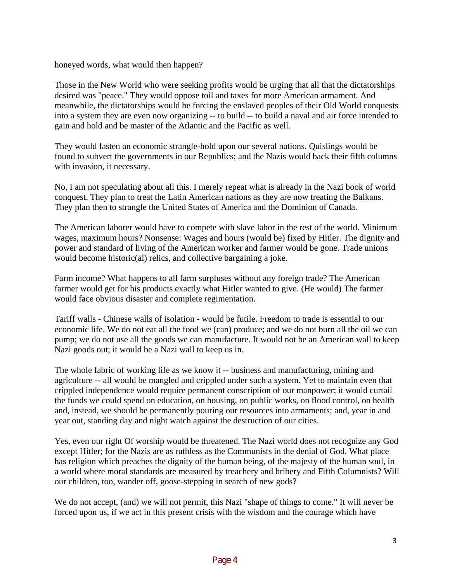honeyed words, what would then happen?

Those in the New World who were seeking profits would be urging that all that the dictatorships desired was "peace." They would oppose toil and taxes for more American armament. And meanwhile, the dictatorships would be forcing the enslaved peoples of their Old World conquests into a system they are even now organizing -- to build -- to build a naval and air force intended to gain and hold and be master of the Atlantic and the Pacific as well.

They would fasten an economic strangle-hold upon our several nations. Quislings would be found to subvert the governments in our Republics; and the Nazis would back their fifth columns with invasion, it necessary.

No, I am not speculating about all this. I merely repeat what is already in the Nazi book of world conquest. They plan to treat the Latin American nations as they are now treating the Balkans. They plan then to strangle the United States of America and the Dominion of Canada.

The American laborer would have to compete with slave labor in the rest of the world. Minimum wages, maximum hours? Nonsense: Wages and hours (would be) fixed by Hitler. The dignity and power and standard of living of the American worker and farmer would be gone. Trade unions would become historic(al) relics, and collective bargaining a joke.

Farm income? What happens to all farm surpluses without any foreign trade? The American farmer would get for his products exactly what Hitler wanted to give. (He would) The farmer would face obvious disaster and complete regimentation.

Tariff walls - Chinese walls of isolation - would be futile. Freedom to trade is essential to our economic life. We do not eat all the food we (can) produce; and we do not burn all the oil we can pump; we do not use all the goods we can manufacture. It would not be an American wall to keep Nazi goods out; it would be a Nazi wall to keep us in.

The whole fabric of working life as we know it -- business and manufacturing, mining and agriculture -- all would be mangled and crippled under such a system. Yet to maintain even that crippled independence would require permanent conscription of our manpower; it would curtail the funds we could spend on education, on housing, on public works, on flood control, on health and, instead, we should be permanently pouring our resources into armaments; and, year in and year out, standing day and night watch against the destruction of our cities.

Yes, even our right Of worship would be threatened. The Nazi world does not recognize any God except Hitler; for the Nazis are as ruthless as the Communists in the denial of God. What place has religion which preaches the dignity of the human being, of the majesty of the human soul, in a world where moral standards are measured by treachery and bribery and Fifth Columnists? Will our children, too, wander off, goose-stepping in search of new gods?

We do not accept, (and) we will not permit, this Nazi "shape of things to come." It will never be forced upon us, if we act in this present crisis with the wisdom and the courage which have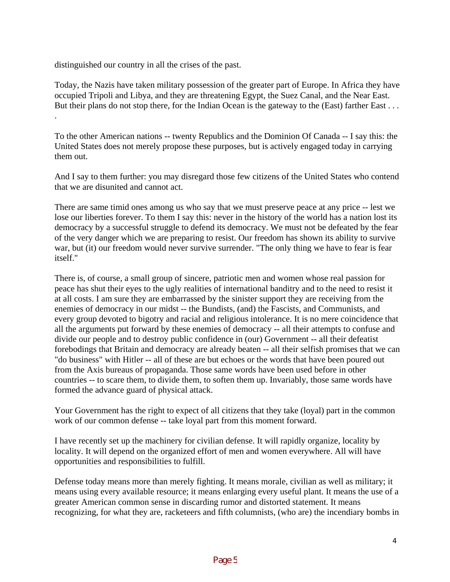distinguished our country in all the crises of the past.

Today, the Nazis have taken military possession of the greater part of Europe. In Africa they have occupied Tripoli and Libya, and they are threatening Egypt, the Suez Canal, and the Near East. But their plans do not stop there, for the Indian Ocean is the gateway to the (East) farther East . . . .

To the other American nations -- twenty Republics and the Dominion Of Canada -- I say this: the United States does not merely propose these purposes, but is actively engaged today in carrying them out.

And I say to them further: you may disregard those few citizens of the United States who contend that we are disunited and cannot act.

There are same timid ones among us who say that we must preserve peace at any price -- lest we lose our liberties forever. To them I say this: never in the history of the world has a nation lost its democracy by a successful struggle to defend its democracy. We must not be defeated by the fear of the very danger which we are preparing to resist. Our freedom has shown its ability to survive war, but (it) our freedom would never survive surrender. "The only thing we have to fear is fear itself."

There is, of course, a small group of sincere, patriotic men and women whose real passion for peace has shut their eyes to the ugly realities of international banditry and to the need to resist it at all costs. I am sure they are embarrassed by the sinister support they are receiving from the enemies of democracy in our midst -- the Bundists, (and) the Fascists, and Communists, and every group devoted to bigotry and racial and religious intolerance. It is no mere coincidence that all the arguments put forward by these enemies of democracy -- all their attempts to confuse and divide our people and to destroy public confidence in (our) Government -- all their defeatist forebodings that Britain and democracy are already beaten -- all their selfish promises that we can "do business" with Hitler -- all of these are but echoes or the words that have been poured out from the Axis bureaus of propaganda. Those same words have been used before in other countries -- to scare them, to divide them, to soften them up. Invariably, those same words have formed the advance guard of physical attack.

Your Government has the right to expect of all citizens that they take (loyal) part in the common work of our common defense -- take loyal part from this moment forward.

I have recently set up the machinery for civilian defense. It will rapidly organize, locality by locality. It will depend on the organized effort of men and women everywhere. All will have opportunities and responsibilities to fulfill.

Defense today means more than merely fighting. It means morale, civilian as well as military; it means using every available resource; it means enlarging every useful plant. It means the use of a greater American common sense in discarding rumor and distorted statement. It means recognizing, for what they are, racketeers and fifth columnists, (who are) the incendiary bombs in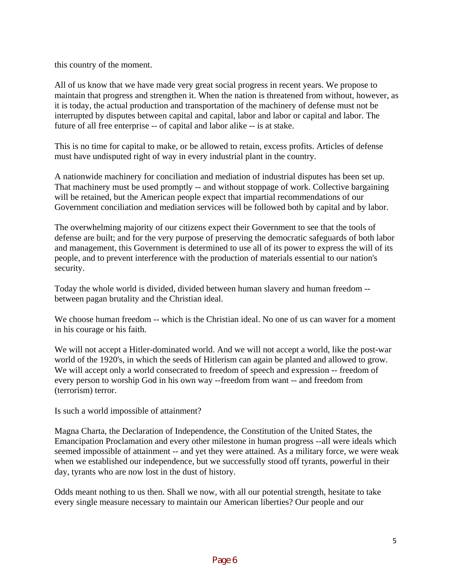this country of the moment.

All of us know that we have made very great social progress in recent years. We propose to maintain that progress and strengthen it. When the nation is threatened from without, however, as it is today, the actual production and transportation of the machinery of defense must not be interrupted by disputes between capital and capital, labor and labor or capital and labor. The future of all free enterprise -- of capital and labor alike -- is at stake.

This is no time for capital to make, or be allowed to retain, excess profits. Articles of defense must have undisputed right of way in every industrial plant in the country.

A nationwide machinery for conciliation and mediation of industrial disputes has been set up. That machinery must be used promptly -- and without stoppage of work. Collective bargaining will be retained, but the American people expect that impartial recommendations of our Government conciliation and mediation services will be followed both by capital and by labor.

The overwhelming majority of our citizens expect their Government to see that the tools of defense are built; and for the very purpose of preserving the democratic safeguards of both labor and management, this Government is determined to use all of its power to express the will of its people, and to prevent interference with the production of materials essential to our nation's security.

Today the whole world is divided, divided between human slavery and human freedom - between pagan brutality and the Christian ideal.

We choose human freedom -- which is the Christian ideal. No one of us can waver for a moment in his courage or his faith.

We will not accept a Hitler-dominated world. And we will not accept a world, like the post-war world of the 1920's, in which the seeds of Hitlerism can again be planted and allowed to grow. We will accept only a world consecrated to freedom of speech and expression -- freedom of every person to worship God in his own way --freedom from want -- and freedom from (terrorism) terror.

Is such a world impossible of attainment?

Magna Charta, the Declaration of Independence, the Constitution of the United States, the Emancipation Proclamation and every other milestone in human progress --all were ideals which seemed impossible of attainment -- and yet they were attained. As a military force, we were weak when we established our independence, but we successfully stood off tyrants, powerful in their day, tyrants who are now lost in the dust of history.

Odds meant nothing to us then. Shall we now, with all our potential strength, hesitate to take every single measure necessary to maintain our American liberties? Our people and our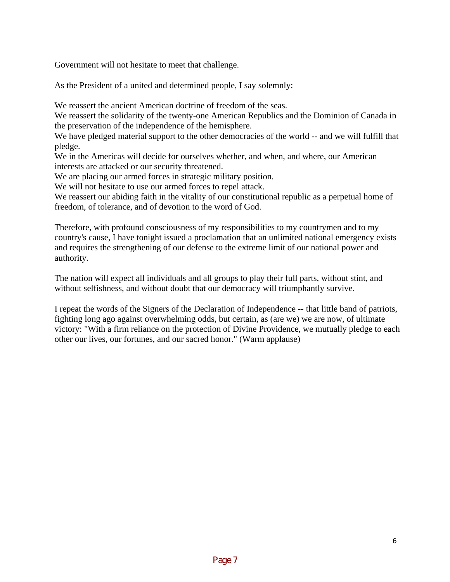Government will not hesitate to meet that challenge.

As the President of a united and determined people, I say solemnly:

We reassert the ancient American doctrine of freedom of the seas.

We reassert the solidarity of the twenty-one American Republics and the Dominion of Canada in the preservation of the independence of the hemisphere.

We have pledged material support to the other democracies of the world -- and we will fulfill that pledge.

We in the Americas will decide for ourselves whether, and when, and where, our American interests are attacked or our security threatened.

We are placing our armed forces in strategic military position.

We will not hesitate to use our armed forces to repel attack.

We reassert our abiding faith in the vitality of our constitutional republic as a perpetual home of freedom, of tolerance, and of devotion to the word of God.

Therefore, with profound consciousness of my responsibilities to my countrymen and to my country's cause, I have tonight issued a proclamation that an unlimited national emergency exists and requires the strengthening of our defense to the extreme limit of our national power and authority.

The nation will expect all individuals and all groups to play their full parts, without stint, and without selfishness, and without doubt that our democracy will triumphantly survive.

I repeat the words of the Signers of the Declaration of Independence -- that little band of patriots, fighting long ago against overwhelming odds, but certain, as (are we) we are now, of ultimate victory: "With a firm reliance on the protection of Divine Providence, we mutually pledge to each other our lives, our fortunes, and our sacred honor." (Warm applause)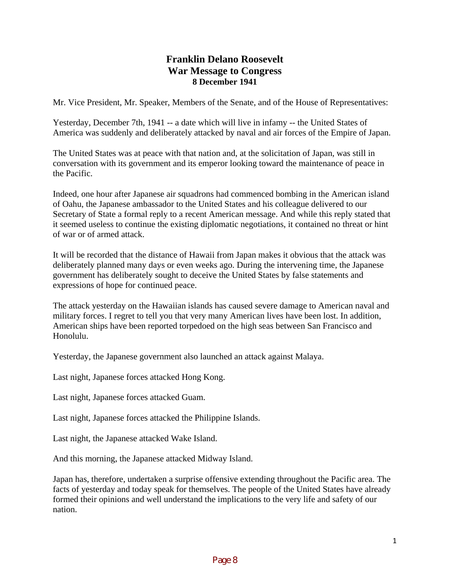# **Franklin Delano Roosevelt War Message to Congress 8 December 1941**

Mr. Vice President, Mr. Speaker, Members of the Senate, and of the House of Representatives:

Yesterday, December 7th, 1941 -- a date which will live in infamy -- the United States of America was suddenly and deliberately attacked by naval and air forces of the Empire of Japan.

The United States was at peace with that nation and, at the solicitation of Japan, was still in conversation with its government and its emperor looking toward the maintenance of peace in the Pacific.

Indeed, one hour after Japanese air squadrons had commenced bombing in the American island of Oahu, the Japanese ambassador to the United States and his colleague delivered to our Secretary of State a formal reply to a recent American message. And while this reply stated that it seemed useless to continue the existing diplomatic negotiations, it contained no threat or hint of war or of armed attack.

It will be recorded that the distance of Hawaii from Japan makes it obvious that the attack was deliberately planned many days or even weeks ago. During the intervening time, the Japanese government has deliberately sought to deceive the United States by false statements and expressions of hope for continued peace.

The attack yesterday on the Hawaiian islands has caused severe damage to American naval and military forces. I regret to tell you that very many American lives have been lost. In addition, American ships have been reported torpedoed on the high seas between San Francisco and Honolulu.

Yesterday, the Japanese government also launched an attack against Malaya.

Last night, Japanese forces attacked Hong Kong.

Last night, Japanese forces attacked Guam.

Last night, Japanese forces attacked the Philippine Islands.

Last night, the Japanese attacked Wake Island.

And this morning, the Japanese attacked Midway Island.

Japan has, therefore, undertaken a surprise offensive extending throughout the Pacific area. The facts of yesterday and today speak for themselves. The people of the United States have already formed their opinions and well understand the implications to the very life and safety of our nation.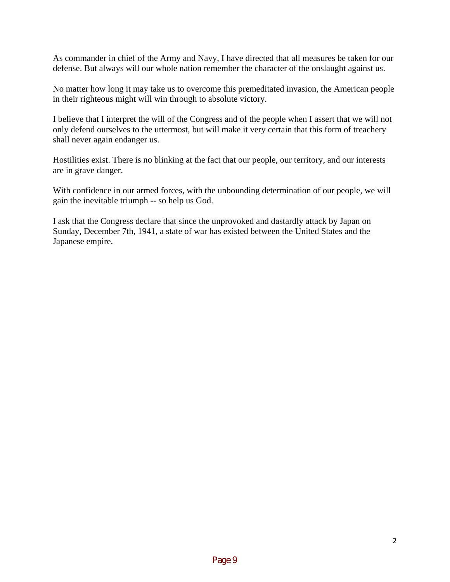As commander in chief of the Army and Navy, I have directed that all measures be taken for our defense. But always will our whole nation remember the character of the onslaught against us.

No matter how long it may take us to overcome this premeditated invasion, the American people in their righteous might will win through to absolute victory.

I believe that I interpret the will of the Congress and of the people when I assert that we will not only defend ourselves to the uttermost, but will make it very certain that this form of treachery shall never again endanger us.

Hostilities exist. There is no blinking at the fact that our people, our territory, and our interests are in grave danger.

With confidence in our armed forces, with the unbounding determination of our people, we will gain the inevitable triumph -- so help us God.

I ask that the Congress declare that since the unprovoked and dastardly attack by Japan on Sunday, December 7th, 1941, a state of war has existed between the United States and the Japanese empire.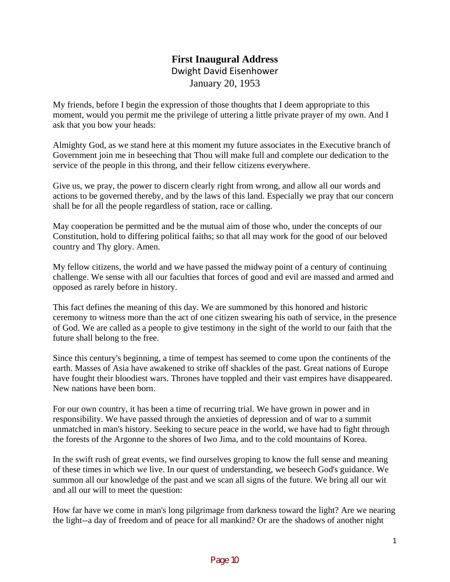## **First Inaugural Address**  Dwight David Eisenhower January 20, 1953

My friends, before I begin the expression of those thoughts that I deem appropriate to this moment, would you permit me the privilege of uttering a little private prayer of my own. And I ask that you bow your heads:

Almighty God, as we stand here at this moment my future associates in the Executive branch of Government join me in beseeching that Thou will make full and complete our dedication to the service of the people in this throng, and their fellow citizens everywhere.

Give us, we pray, the power to discern clearly right from wrong, and allow all our words and actions to be governed thereby, and by the laws of this land. Especially we pray that our concern shall be for all the people regardless of station, race or calling.

May cooperation be permitted and be the mutual aim of those who, under the concepts of our Constitution, hold to differing political faiths; so that all may work for the good of our beloved country and Thy glory. Amen.

My fellow citizens, the world and we have passed the midway point of a century of continuing challenge. We sense with all our faculties that forces of good and evil are massed and armed and opposed as rarely before in history.

This fact defines the meaning of this day. We are summoned by this honored and historic ceremony to witness more than the act of one citizen swearing his oath of service, in the presence of God. We are called as a people to give testimony in the sight of the world to our faith that the future shall belong to the free.

Since this century's beginning, a time of tempest has seemed to come upon the continents of the earth. Masses of Asia have awakened to strike off shackles of the past. Great nations of Europe have fought their bloodiest wars. Thrones have toppled and their vast empires have disappeared. New nations have been born.

For our own country, it has been a time of recurring trial. We have grown in power and in responsibility. We have passed through the anxieties of depression and of war to a summit unmatched in man's history. Seeking to secure peace in the world, we have had to fight through the forests of the Argonne to the shores of Iwo Jima, and to the cold mountains of Korea.

In the swift rush of great events, we find ourselves groping to know the full sense and meaning of these times in which we live. In our quest of understanding, we beseech God's guidance. We summon all our knowledge of the past and we scan all signs of the future. We bring all our wit and all our will to meet the question:

How far have we come in man's long pilgrimage from darkness toward the light? Are we nearing the light--a day of freedom and of peace for all mankind? Or are the shadows of another night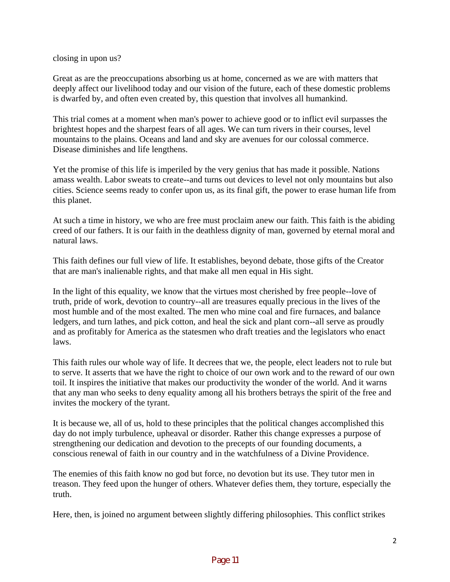closing in upon us?

Great as are the preoccupations absorbing us at home, concerned as we are with matters that deeply affect our livelihood today and our vision of the future, each of these domestic problems is dwarfed by, and often even created by, this question that involves all humankind.

This trial comes at a moment when man's power to achieve good or to inflict evil surpasses the brightest hopes and the sharpest fears of all ages. We can turn rivers in their courses, level mountains to the plains. Oceans and land and sky are avenues for our colossal commerce. Disease diminishes and life lengthens.

Yet the promise of this life is imperiled by the very genius that has made it possible. Nations amass wealth. Labor sweats to create--and turns out devices to level not only mountains but also cities. Science seems ready to confer upon us, as its final gift, the power to erase human life from this planet.

At such a time in history, we who are free must proclaim anew our faith. This faith is the abiding creed of our fathers. It is our faith in the deathless dignity of man, governed by eternal moral and natural laws.

This faith defines our full view of life. It establishes, beyond debate, those gifts of the Creator that are man's inalienable rights, and that make all men equal in His sight.

In the light of this equality, we know that the virtues most cherished by free people--love of truth, pride of work, devotion to country--all are treasures equally precious in the lives of the most humble and of the most exalted. The men who mine coal and fire furnaces, and balance ledgers, and turn lathes, and pick cotton, and heal the sick and plant corn--all serve as proudly and as profitably for America as the statesmen who draft treaties and the legislators who enact laws.

This faith rules our whole way of life. It decrees that we, the people, elect leaders not to rule but to serve. It asserts that we have the right to choice of our own work and to the reward of our own toil. It inspires the initiative that makes our productivity the wonder of the world. And it warns that any man who seeks to deny equality among all his brothers betrays the spirit of the free and invites the mockery of the tyrant.

It is because we, all of us, hold to these principles that the political changes accomplished this day do not imply turbulence, upheaval or disorder. Rather this change expresses a purpose of strengthening our dedication and devotion to the precepts of our founding documents, a conscious renewal of faith in our country and in the watchfulness of a Divine Providence.

The enemies of this faith know no god but force, no devotion but its use. They tutor men in treason. They feed upon the hunger of others. Whatever defies them, they torture, especially the truth.

Here, then, is joined no argument between slightly differing philosophies. This conflict strikes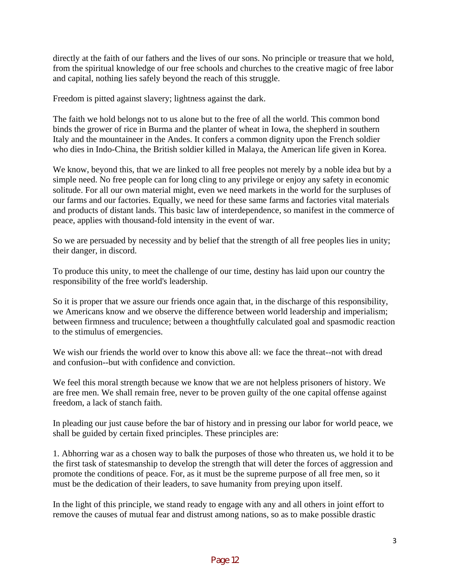directly at the faith of our fathers and the lives of our sons. No principle or treasure that we hold, from the spiritual knowledge of our free schools and churches to the creative magic of free labor and capital, nothing lies safely beyond the reach of this struggle.

Freedom is pitted against slavery; lightness against the dark.

The faith we hold belongs not to us alone but to the free of all the world. This common bond binds the grower of rice in Burma and the planter of wheat in Iowa, the shepherd in southern Italy and the mountaineer in the Andes. It confers a common dignity upon the French soldier who dies in Indo-China, the British soldier killed in Malaya, the American life given in Korea.

We know, beyond this, that we are linked to all free peoples not merely by a noble idea but by a simple need. No free people can for long cling to any privilege or enjoy any safety in economic solitude. For all our own material might, even we need markets in the world for the surpluses of our farms and our factories. Equally, we need for these same farms and factories vital materials and products of distant lands. This basic law of interdependence, so manifest in the commerce of peace, applies with thousand-fold intensity in the event of war.

So we are persuaded by necessity and by belief that the strength of all free peoples lies in unity; their danger, in discord.

To produce this unity, to meet the challenge of our time, destiny has laid upon our country the responsibility of the free world's leadership.

So it is proper that we assure our friends once again that, in the discharge of this responsibility, we Americans know and we observe the difference between world leadership and imperialism; between firmness and truculence; between a thoughtfully calculated goal and spasmodic reaction to the stimulus of emergencies.

We wish our friends the world over to know this above all: we face the threat--not with dread and confusion--but with confidence and conviction.

We feel this moral strength because we know that we are not helpless prisoners of history. We are free men. We shall remain free, never to be proven guilty of the one capital offense against freedom, a lack of stanch faith.

In pleading our just cause before the bar of history and in pressing our labor for world peace, we shall be guided by certain fixed principles. These principles are:

1. Abhorring war as a chosen way to balk the purposes of those who threaten us, we hold it to be the first task of statesmanship to develop the strength that will deter the forces of aggression and promote the conditions of peace. For, as it must be the supreme purpose of all free men, so it must be the dedication of their leaders, to save humanity from preying upon itself.

In the light of this principle, we stand ready to engage with any and all others in joint effort to remove the causes of mutual fear and distrust among nations, so as to make possible drastic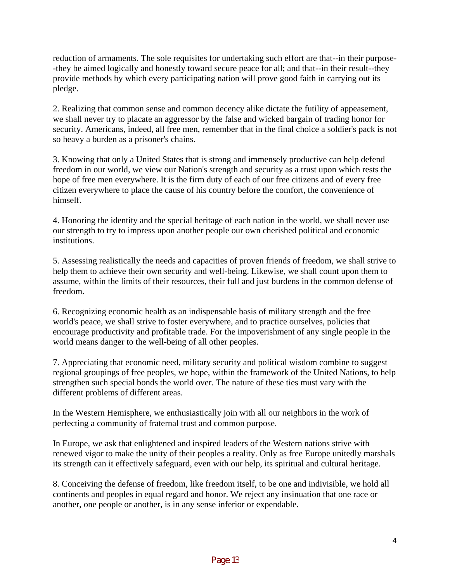reduction of armaments. The sole requisites for undertaking such effort are that--in their purpose- -they be aimed logically and honestly toward secure peace for all; and that--in their result--they provide methods by which every participating nation will prove good faith in carrying out its pledge.

2. Realizing that common sense and common decency alike dictate the futility of appeasement, we shall never try to placate an aggressor by the false and wicked bargain of trading honor for security. Americans, indeed, all free men, remember that in the final choice a soldier's pack is not so heavy a burden as a prisoner's chains.

3. Knowing that only a United States that is strong and immensely productive can help defend freedom in our world, we view our Nation's strength and security as a trust upon which rests the hope of free men everywhere. It is the firm duty of each of our free citizens and of every free citizen everywhere to place the cause of his country before the comfort, the convenience of himself.

4. Honoring the identity and the special heritage of each nation in the world, we shall never use our strength to try to impress upon another people our own cherished political and economic institutions.

5. Assessing realistically the needs and capacities of proven friends of freedom, we shall strive to help them to achieve their own security and well-being. Likewise, we shall count upon them to assume, within the limits of their resources, their full and just burdens in the common defense of freedom.

6. Recognizing economic health as an indispensable basis of military strength and the free world's peace, we shall strive to foster everywhere, and to practice ourselves, policies that encourage productivity and profitable trade. For the impoverishment of any single people in the world means danger to the well-being of all other peoples.

7. Appreciating that economic need, military security and political wisdom combine to suggest regional groupings of free peoples, we hope, within the framework of the United Nations, to help strengthen such special bonds the world over. The nature of these ties must vary with the different problems of different areas.

In the Western Hemisphere, we enthusiastically join with all our neighbors in the work of perfecting a community of fraternal trust and common purpose.

In Europe, we ask that enlightened and inspired leaders of the Western nations strive with renewed vigor to make the unity of their peoples a reality. Only as free Europe unitedly marshals its strength can it effectively safeguard, even with our help, its spiritual and cultural heritage.

8. Conceiving the defense of freedom, like freedom itself, to be one and indivisible, we hold all continents and peoples in equal regard and honor. We reject any insinuation that one race or another, one people or another, is in any sense inferior or expendable.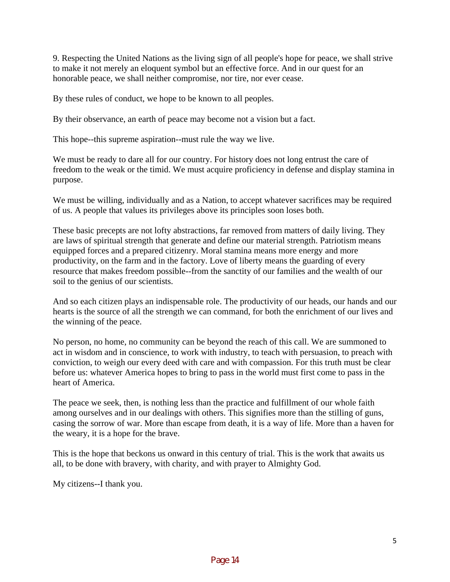9. Respecting the United Nations as the living sign of all people's hope for peace, we shall strive to make it not merely an eloquent symbol but an effective force. And in our quest for an honorable peace, we shall neither compromise, nor tire, nor ever cease.

By these rules of conduct, we hope to be known to all peoples.

By their observance, an earth of peace may become not a vision but a fact.

This hope--this supreme aspiration--must rule the way we live.

We must be ready to dare all for our country. For history does not long entrust the care of freedom to the weak or the timid. We must acquire proficiency in defense and display stamina in purpose.

We must be willing, individually and as a Nation, to accept whatever sacrifices may be required of us. A people that values its privileges above its principles soon loses both.

These basic precepts are not lofty abstractions, far removed from matters of daily living. They are laws of spiritual strength that generate and define our material strength. Patriotism means equipped forces and a prepared citizenry. Moral stamina means more energy and more productivity, on the farm and in the factory. Love of liberty means the guarding of every resource that makes freedom possible--from the sanctity of our families and the wealth of our soil to the genius of our scientists.

And so each citizen plays an indispensable role. The productivity of our heads, our hands and our hearts is the source of all the strength we can command, for both the enrichment of our lives and the winning of the peace.

No person, no home, no community can be beyond the reach of this call. We are summoned to act in wisdom and in conscience, to work with industry, to teach with persuasion, to preach with conviction, to weigh our every deed with care and with compassion. For this truth must be clear before us: whatever America hopes to bring to pass in the world must first come to pass in the heart of America.

The peace we seek, then, is nothing less than the practice and fulfillment of our whole faith among ourselves and in our dealings with others. This signifies more than the stilling of guns, casing the sorrow of war. More than escape from death, it is a way of life. More than a haven for the weary, it is a hope for the brave.

This is the hope that beckons us onward in this century of trial. This is the work that awaits us all, to be done with bravery, with charity, and with prayer to Almighty God.

My citizens--I thank you.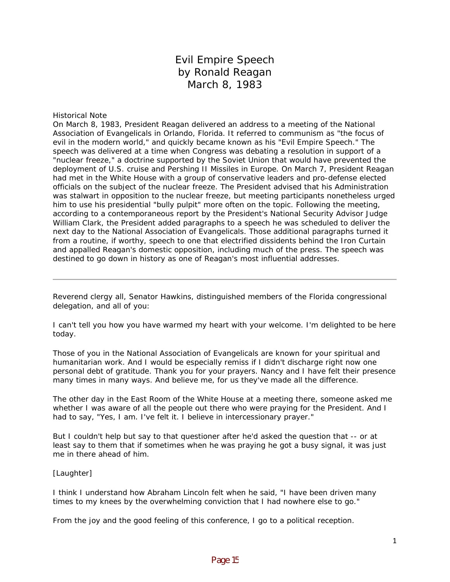## Evil Empire Speech by Ronald Reagan March 8, 1983

#### Historical Note

*On March 8, 1983, President Reagan delivered an address to a meeting of the National Association of Evangelicals in Orlando, Florida. It referred to communism as "the focus of evil in the modern world," and quickly became known as his "Evil Empire Speech." The speech was delivered at a time when Congress was debating a resolution in support of a "nuclear freeze," a doctrine supported by the Soviet Union that would have prevented the deployment of U.S. cruise and Pershing II Missiles in Europe. On March 7, President Reagan had met in the White House with a group of conservative leaders and pro-defense elected officials on the subject of the nuclear freeze. The President advised that his Administration was stalwart in opposition to the nuclear freeze, but meeting participants nonetheless urged him to use his presidential "bully pulpit" more often on the topic. Following the meeting, according to a contemporaneous report by the President's National Security Advisor Judge William Clark, the President added paragraphs to a speech he was scheduled to deliver the next day to the National Association of Evangelicals. Those additional paragraphs turned it from a routine, if worthy, speech to one that electrified dissidents behind the Iron Curtain and appalled Reagan's domestic opposition, including much of the press. The speech was destined to go down in history as one of Reagan's most influential addresses.*

Reverend clergy all, Senator Hawkins, distinguished members of the Florida congressional delegation, and all of you:

I can't tell you how you have warmed my heart with your welcome. I'm delighted to be here today.

Those of you in the National Association of Evangelicals are known for your spiritual and humanitarian work. And I would be especially remiss if I didn't discharge right now one personal debt of gratitude. Thank you for your prayers. Nancy and I have felt their presence many times in many ways. And believe me, for us they've made all the difference.

The other day in the East Room of the White House at a meeting there, someone asked me whether I was aware of all the people out there who were praying for the President. And I had to say, "Yes, I am. I've felt it. I believe in intercessionary prayer."

But I couldn't help but say to that questioner after he'd asked the question that -- or at least say to them that if sometimes when he was praying he got a busy signal, it was just me in there ahead of him.

#### [Laughter]

I think I understand how Abraham Lincoln felt when he said, "I have been driven many times to my knees by the overwhelming conviction that I had nowhere else to go."

From the joy and the good feeling of this conference, I go to a political reception.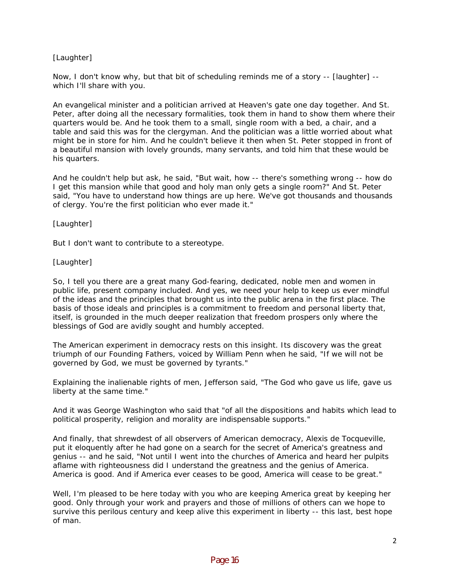#### [Laughter]

Now, I don't know why, but that bit of scheduling reminds me of a story -- [laughter] - which I'll share with you.

An evangelical minister and a politician arrived at Heaven's gate one day together. And St. Peter, after doing all the necessary formalities, took them in hand to show them where their quarters would be. And he took them to a small, single room with a bed, a chair, and a table and said this was for the clergyman. And the politician was a little worried about what might be in store for him. And he couldn't believe it then when St. Peter stopped in front of a beautiful mansion with lovely grounds, many servants, and told him that these would be his quarters.

And he couldn't help but ask, he said, "But wait, how -- there's something wrong -- how do I get this mansion while that good and holy man only gets a single room?" And St. Peter said, "You have to understand how things are up here. We've got thousands and thousands of clergy. You're the first politician who ever made it."

#### [Laughter]

But I don't want to contribute to a stereotype.

#### [Laughter]

So, I tell you there are a great many God-fearing, dedicated, noble men and women in public life, present company included. And yes, we need your help to keep us ever mindful of the ideas and the principles that brought us into the public arena in the first place. The basis of those ideals and principles is a commitment to freedom and personal liberty that, itself, is grounded in the much deeper realization that freedom prospers only where the blessings of God are avidly sought and humbly accepted.

The American experiment in democracy rests on this insight. Its discovery was the great triumph of our Founding Fathers, voiced by William Penn when he said, "If we will not be governed by God, we must be governed by tyrants."

Explaining the inalienable rights of men, Jefferson said, "The God who gave us life, gave us liberty at the same time."

And it was George Washington who said that "of all the dispositions and habits which lead to political prosperity, religion and morality are indispensable supports."

And finally, that shrewdest of all observers of American democracy, Alexis de Tocqueville, put it eloquently after he had gone on a search for the secret of America's greatness and genius -- and he said, "Not until I went into the churches of America and heard her pulpits aflame with righteousness did I understand the greatness and the genius of America. America is good. And if America ever ceases to be good, America will cease to be great."

Well, I'm pleased to be here today with you who are keeping America great by keeping her good. Only through your work and prayers and those of millions of others can we hope to survive this perilous century and keep alive this experiment in liberty -- this last, best hope of man.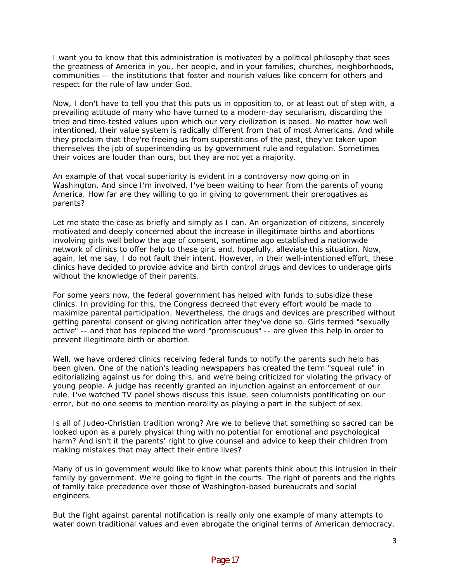I want you to know that this administration is motivated by a political philosophy that sees the greatness of America in you, her people, and in your families, churches, neighborhoods, communities -- the institutions that foster and nourish values like concern for others and respect for the rule of law under God.

Now, I don't have to tell you that this puts us in opposition to, or at least out of step with, a prevailing attitude of many who have turned to a modern-day secularism, discarding the tried and time-tested values upon which our very civilization is based. No matter how well intentioned, their value system is radically different from that of most Americans. And while they proclaim that they're freeing us from superstitions of the past, they've taken upon themselves the job of superintending us by government rule and regulation. Sometimes their voices are louder than ours, but they are not yet a majority.

An example of that vocal superiority is evident in a controversy now going on in Washington. And since I'm involved, I've been waiting to hear from the parents of young America. How far are they willing to go in giving to government their prerogatives as parents?

Let me state the case as briefly and simply as I can. An organization of citizens, sincerely motivated and deeply concerned about the increase in illegitimate births and abortions involving girls well below the age of consent, sometime ago established a nationwide network of clinics to offer help to these girls and, hopefully, alleviate this situation. Now, again, let me say, I do not fault their intent. However, in their well-intentioned effort, these clinics have decided to provide advice and birth control drugs and devices to underage girls without the knowledge of their parents.

For some years now, the federal government has helped with funds to subsidize these clinics. In providing for this, the Congress decreed that every effort would be made to maximize parental participation. Nevertheless, the drugs and devices are prescribed without getting parental consent or giving notification after they've done so. Girls termed "sexually active" -- and that has replaced the word "promiscuous" -- are given this help in order to prevent illegitimate birth or abortion.

Well, we have ordered clinics receiving federal funds to notify the parents such help has been given. One of the nation's leading newspapers has created the term "squeal rule" in editorializing against us for doing this, and we're being criticized for violating the privacy of young people. A judge has recently granted an injunction against an enforcement of our rule. I've watched TV panel shows discuss this issue, seen columnists pontificating on our error, but no one seems to mention morality as playing a part in the subject of sex.

Is all of Judeo-Christian tradition wrong? Are we to believe that something so sacred can be looked upon as a purely physical thing with no potential for emotional and psychological harm? And isn't it the parents' right to give counsel and advice to keep their children from making mistakes that may affect their entire lives?

Many of us in government would like to know what parents think about this intrusion in their family by government. We're going to fight in the courts. The right of parents and the rights of family take precedence over those of Washington-based bureaucrats and social engineers.

But the fight against parental notification is really only one example of many attempts to water down traditional values and even abrogate the original terms of American democracy.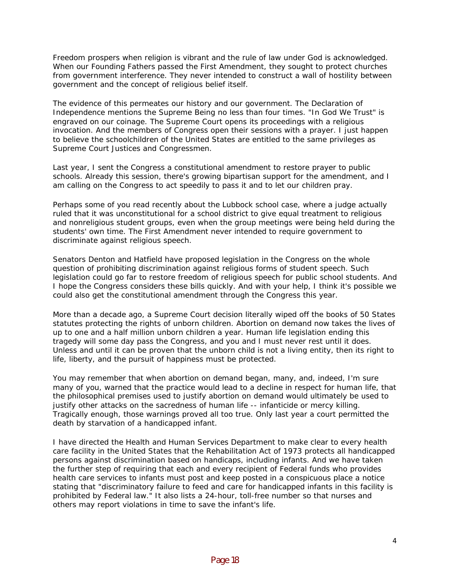Freedom prospers when religion is vibrant and the rule of law under God is acknowledged. When our Founding Fathers passed the First Amendment, they sought to protect churches from government interference. They never intended to construct a wall of hostility between government and the concept of religious belief itself.

The evidence of this permeates our history and our government. The Declaration of Independence mentions the Supreme Being no less than four times. "In God We Trust" is engraved on our coinage. The Supreme Court opens its proceedings with a religious invocation. And the members of Congress open their sessions with a prayer. I just happen to believe the schoolchildren of the United States are entitled to the same privileges as Supreme Court Justices and Congressmen.

Last year, I sent the Congress a constitutional amendment to restore prayer to public schools. Already this session, there's growing bipartisan support for the amendment, and I am calling on the Congress to act speedily to pass it and to let our children pray.

Perhaps some of you read recently about the Lubbock school case, where a judge actually ruled that it was unconstitutional for a school district to give equal treatment to religious and nonreligious student groups, even when the group meetings were being held during the students' own time. The First Amendment never intended to require government to discriminate against religious speech.

Senators Denton and Hatfield have proposed legislation in the Congress on the whole question of prohibiting discrimination against religious forms of student speech. Such legislation could go far to restore freedom of religious speech for public school students. And I hope the Congress considers these bills quickly. And with your help, I think it's possible we could also get the constitutional amendment through the Congress this year.

More than a decade ago, a Supreme Court decision literally wiped off the books of 50 States statutes protecting the rights of unborn children. Abortion on demand now takes the lives of up to one and a half million unborn children a year. Human life legislation ending this tragedy will some day pass the Congress, and you and I must never rest until it does. Unless and until it can be proven that the unborn child is not a living entity, then its right to life, liberty, and the pursuit of happiness must be protected.

You may remember that when abortion on demand began, many, and, indeed, I'm sure many of you, warned that the practice would lead to a decline in respect for human life, that the philosophical premises used to justify abortion on demand would ultimately be used to justify other attacks on the sacredness of human life -- infanticide or mercy killing. Tragically enough, those warnings proved all too true. Only last year a court permitted the death by starvation of a handicapped infant.

I have directed the Health and Human Services Department to make clear to every health care facility in the United States that the Rehabilitation Act of 1973 protects all handicapped persons against discrimination based on handicaps, including infants. And we have taken the further step of requiring that each and every recipient of Federal funds who provides health care services to infants must post and keep posted in a conspicuous place a notice stating that "discriminatory failure to feed and care for handicapped infants in this facility is prohibited by Federal law." It also lists a 24-hour, toll-free number so that nurses and others may report violations in time to save the infant's life.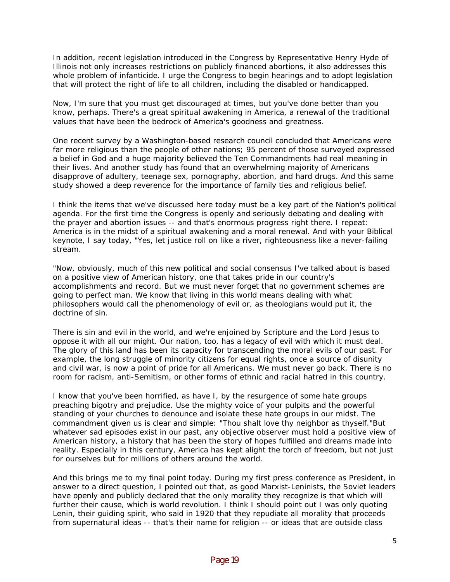In addition, recent legislation introduced in the Congress by Representative Henry Hyde of Illinois not only increases restrictions on publicly financed abortions, it also addresses this whole problem of infanticide. I urge the Congress to begin hearings and to adopt legislation that will protect the right of life to all children, including the disabled or handicapped.

Now, I'm sure that you must get discouraged at times, but you've done better than you know, perhaps. There's a great spiritual awakening in America, a renewal of the traditional values that have been the bedrock of America's goodness and greatness.

One recent survey by a Washington-based research council concluded that Americans were far more religious than the people of other nations; 95 percent of those surveyed expressed a belief in God and a huge majority believed the Ten Commandments had real meaning in their lives. And another study has found that an overwhelming majority of Americans disapprove of adultery, teenage sex, pornography, abortion, and hard drugs. And this same study showed a deep reverence for the importance of family ties and religious belief.

I think the items that we've discussed here today must be a key part of the Nation's political agenda. For the first time the Congress is openly and seriously debating and dealing with the prayer and abortion issues -- and that's enormous progress right there. I repeat: America is in the midst of a spiritual awakening and a moral renewal. And with your Biblical keynote, I say today, "Yes, let justice roll on like a river, righteousness like a never-failing stream.

"Now, obviously, much of this new political and social consensus I've talked about is based on a positive view of American history, one that takes pride in our country's accomplishments and record. But we must never forget that no government schemes are going to perfect man. We know that living in this world means dealing with what philosophers would call the phenomenology of evil or, as theologians would put it, the doctrine of sin.

There is sin and evil in the world, and we're enjoined by Scripture and the Lord Jesus to oppose it with all our might. Our nation, too, has a legacy of evil with which it must deal. The glory of this land has been its capacity for transcending the moral evils of our past. For example, the long struggle of minority citizens for equal rights, once a source of disunity and civil war, is now a point of pride for all Americans. We must never go back. There is no room for racism, anti-Semitism, or other forms of ethnic and racial hatred in this country.

I know that you've been horrified, as have I, by the resurgence of some hate groups preaching bigotry and prejudice. Use the mighty voice of your pulpits and the powerful standing of your churches to denounce and isolate these hate groups in our midst. The commandment given us is clear and simple: "Thou shalt love thy neighbor as thyself."But whatever sad episodes exist in our past, any objective observer must hold a positive view of American history, a history that has been the story of hopes fulfilled and dreams made into reality. Especially in this century, America has kept alight the torch of freedom, but not just for ourselves but for millions of others around the world.

And this brings me to my final point today. During my first press conference as President, in answer to a direct question, I pointed out that, as good Marxist-Leninists, the Soviet leaders have openly and publicly declared that the only morality they recognize is that which will further their cause, which is world revolution. I think I should point out I was only quoting Lenin, their guiding spirit, who said in 1920 that they repudiate all morality that proceeds from supernatural ideas -- that's their name for religion -- or ideas that are outside class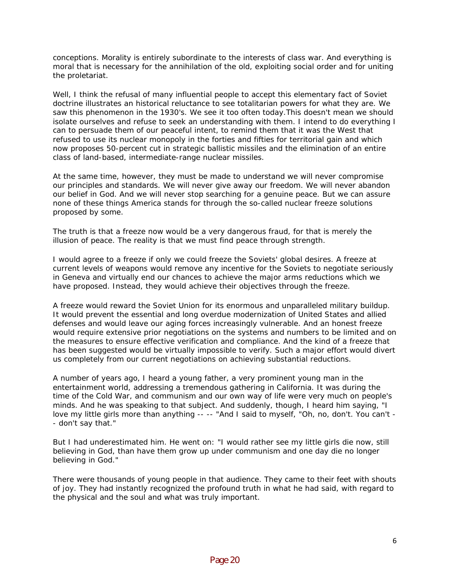conceptions. Morality is entirely subordinate to the interests of class war. And everything is moral that is necessary for the annihilation of the old, exploiting social order and for uniting the proletariat.

Well, I think the refusal of many influential people to accept this elementary fact of Soviet doctrine illustrates an historical reluctance to see totalitarian powers for what they are. We saw this phenomenon in the 1930's. We see it too often today.This doesn't mean we should isolate ourselves and refuse to seek an understanding with them. I intend to do everything I can to persuade them of our peaceful intent, to remind them that it was the West that refused to use its nuclear monopoly in the forties and fifties for territorial gain and which now proposes 50-percent cut in strategic ballistic missiles and the elimination of an entire class of land-based, intermediate-range nuclear missiles.

At the same time, however, they must be made to understand we will never compromise our principles and standards. We will never give away our freedom. We will never abandon our belief in God. And we will never stop searching for a genuine peace. But we can assure none of these things America stands for through the so-called nuclear freeze solutions proposed by some.

The truth is that a freeze now would be a very dangerous fraud, for that is merely the illusion of peace. The reality is that we must find peace through strength.

I would agree to a freeze if only we could freeze the Soviets' global desires. A freeze at current levels of weapons would remove any incentive for the Soviets to negotiate seriously in Geneva and virtually end our chances to achieve the major arms reductions which we have proposed. Instead, they would achieve their objectives through the freeze.

A freeze would reward the Soviet Union for its enormous and unparalleled military buildup. It would prevent the essential and long overdue modernization of United States and allied defenses and would leave our aging forces increasingly vulnerable. And an honest freeze would require extensive prior negotiations on the systems and numbers to be limited and on the measures to ensure effective verification and compliance. And the kind of a freeze that has been suggested would be virtually impossible to verify. Such a major effort would divert us completely from our current negotiations on achieving substantial reductions.

A number of years ago, I heard a young father, a very prominent young man in the entertainment world, addressing a tremendous gathering in California. It was during the time of the Cold War, and communism and our own way of life were very much on people's minds. And he was speaking to that subject. And suddenly, though, I heard him saying, "I love my little girls more than anything -- -- "And I said to myself, "Oh, no, don't. You can't -- don't say that."

But I had underestimated him. He went on: "I would rather see my little girls die now, still believing in God, than have them grow up under communism and one day die no longer believing in God."

There were thousands of young people in that audience. They came to their feet with shouts of joy. They had instantly recognized the profound truth in what he had said, with regard to the physical and the soul and what was truly important.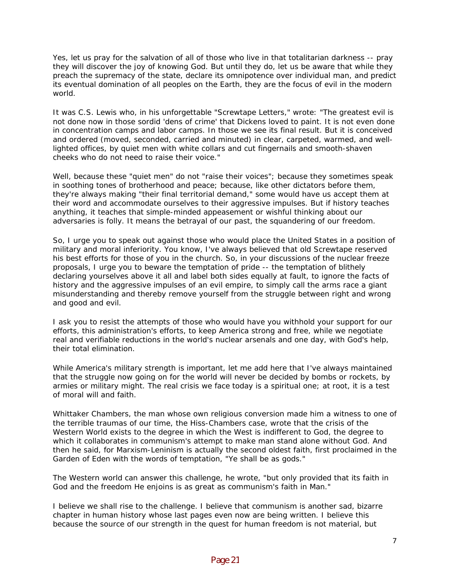Yes, let us pray for the salvation of all of those who live in that totalitarian darkness -- pray they will discover the joy of knowing God. But until they do, let us be aware that while they preach the supremacy of the state, declare its omnipotence over individual man, and predict its eventual domination of all peoples on the Earth, they are the focus of evil in the modern world.

It was C.S. Lewis who, in his unforgettable "Screwtape Letters," wrote: "The greatest evil is not done now in those sordid 'dens of crime' that Dickens loved to paint. It is not even done in concentration camps and labor camps. In those we see its final result. But it is conceived and ordered (moved, seconded, carried and minuted) in clear, carpeted, warmed, and welllighted offices, by quiet men with white collars and cut fingernails and smooth-shaven cheeks who do not need to raise their voice."

Well, because these "quiet men" do not "raise their voices"; because they sometimes speak in soothing tones of brotherhood and peace; because, like other dictators before them, they're always making "their final territorial demand," some would have us accept them at their word and accommodate ourselves to their aggressive impulses. But if history teaches anything, it teaches that simple-minded appeasement or wishful thinking about our adversaries is folly. It means the betrayal of our past, the squandering of our freedom.

So, I urge you to speak out against those who would place the United States in a position of military and moral inferiority. You know, I've always believed that old Screwtape reserved his best efforts for those of you in the church. So, in your discussions of the nuclear freeze proposals, I urge you to beware the temptation of pride -- the temptation of blithely declaring yourselves above it all and label both sides equally at fault, to ignore the facts of history and the aggressive impulses of an evil empire, to simply call the arms race a giant misunderstanding and thereby remove yourself from the struggle between right and wrong and good and evil.

I ask you to resist the attempts of those who would have you withhold your support for our efforts, this administration's efforts, to keep America strong and free, while we negotiate real and verifiable reductions in the world's nuclear arsenals and one day, with God's help, their total elimination.

While America's military strength is important, let me add here that I've always maintained that the struggle now going on for the world will never be decided by bombs or rockets, by armies or military might. The real crisis we face today is a spiritual one; at root, it is a test of moral will and faith.

Whittaker Chambers, the man whose own religious conversion made him a witness to one of the terrible traumas of our time, the Hiss-Chambers case, wrote that the crisis of the Western World exists to the degree in which the West is indifferent to God, the degree to which it collaborates in communism's attempt to make man stand alone without God. And then he said, for Marxism-Leninism is actually the second oldest faith, first proclaimed in the Garden of Eden with the words of temptation, "Ye shall be as gods."

The Western world can answer this challenge, he wrote, "but only provided that its faith in God and the freedom He enjoins is as great as communism's faith in Man."

I believe we shall rise to the challenge. I believe that communism is another sad, bizarre chapter in human history whose last pages even now are being written. I believe this because the source of our strength in the quest for human freedom is not material, but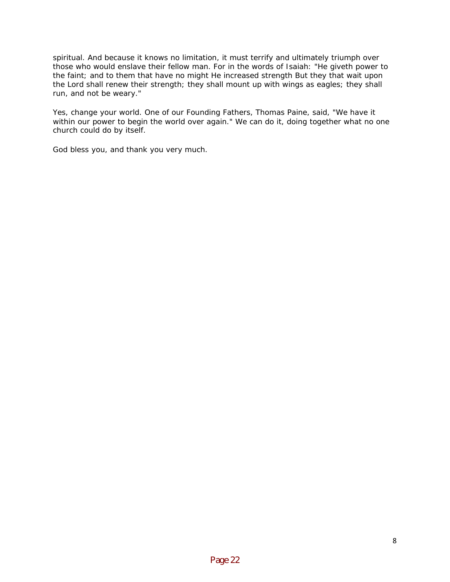spiritual. And because it knows no limitation, it must terrify and ultimately triumph over those who would enslave their fellow man. For in the words of Isaiah: "He giveth power to the faint; and to them that have no might He increased strength But they that wait upon the Lord shall renew their strength; they shall mount up with wings as eagles; they shall run, and not be weary."

Yes, change your world. One of our Founding Fathers, Thomas Paine, said, "We have it within our power to begin the world over again." We can do it, doing together what no one church could do by itself.

God bless you, and thank you very much.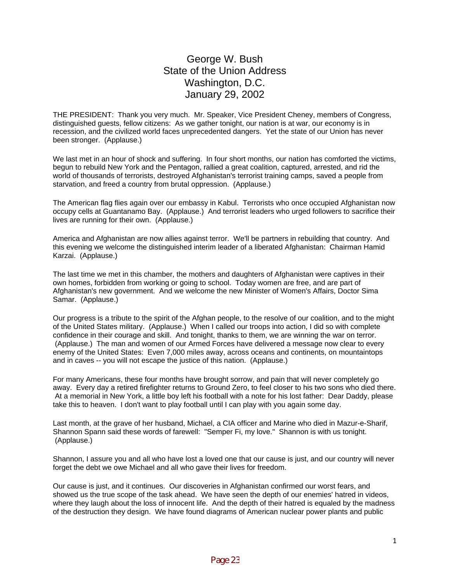## George W. Bush State of the Union Address Washington, D.C. January 29, 2002

THE PRESIDENT: Thank you very much. Mr. Speaker, Vice President Cheney, members of Congress, distinguished guests, fellow citizens: As we gather tonight, our nation is at war, our economy is in recession, and the civilized world faces unprecedented dangers. Yet the state of our Union has never been stronger. (Applause.)

We last met in an hour of shock and suffering. In four short months, our nation has comforted the victims, begun to rebuild New York and the Pentagon, rallied a great coalition, captured, arrested, and rid the world of thousands of terrorists, destroyed Afghanistan's terrorist training camps, saved a people from starvation, and freed a country from brutal oppression. (Applause.)

The American flag flies again over our embassy in Kabul. Terrorists who once occupied Afghanistan now occupy cells at Guantanamo Bay. (Applause.) And terrorist leaders who urged followers to sacrifice their lives are running for their own. (Applause.)

America and Afghanistan are now allies against terror. We'll be partners in rebuilding that country. And this evening we welcome the distinguished interim leader of a liberated Afghanistan: Chairman Hamid Karzai. (Applause.)

The last time we met in this chamber, the mothers and daughters of Afghanistan were captives in their own homes, forbidden from working or going to school. Today women are free, and are part of Afghanistan's new government. And we welcome the new Minister of Women's Affairs, Doctor Sima Samar. (Applause.)

Our progress is a tribute to the spirit of the Afghan people, to the resolve of our coalition, and to the might of the United States military. (Applause.) When I called our troops into action, I did so with complete confidence in their courage and skill. And tonight, thanks to them, we are winning the war on terror. (Applause.) The man and women of our Armed Forces have delivered a message now clear to every enemy of the United States: Even 7,000 miles away, across oceans and continents, on mountaintops and in caves -- you will not escape the justice of this nation. (Applause.)

For many Americans, these four months have brought sorrow, and pain that will never completely go away. Every day a retired firefighter returns to Ground Zero, to feel closer to his two sons who died there. At a memorial in New York, a little boy left his football with a note for his lost father: Dear Daddy, please take this to heaven. I don't want to play football until I can play with you again some day.

Last month, at the grave of her husband, Michael, a CIA officer and Marine who died in Mazur-e-Sharif, Shannon Spann said these words of farewell: "Semper Fi, my love." Shannon is with us tonight. (Applause.)

Shannon, I assure you and all who have lost a loved one that our cause is just, and our country will never forget the debt we owe Michael and all who gave their lives for freedom.

Our cause is just, and it continues. Our discoveries in Afghanistan confirmed our worst fears, and showed us the true scope of the task ahead. We have seen the depth of our enemies' hatred in videos, where they laugh about the loss of innocent life. And the depth of their hatred is equaled by the madness of the destruction they design. We have found diagrams of American nuclear power plants and public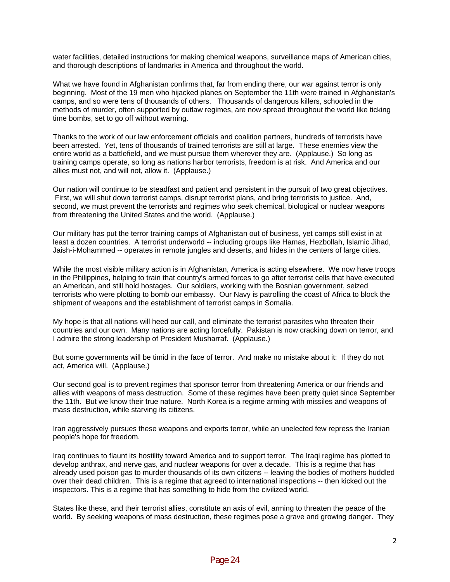water facilities, detailed instructions for making chemical weapons, surveillance maps of American cities, and thorough descriptions of landmarks in America and throughout the world.

What we have found in Afghanistan confirms that, far from ending there, our war against terror is only beginning. Most of the 19 men who hijacked planes on September the 11th were trained in Afghanistan's camps, and so were tens of thousands of others. Thousands of dangerous killers, schooled in the methods of murder, often supported by outlaw regimes, are now spread throughout the world like ticking time bombs, set to go off without warning.

Thanks to the work of our law enforcement officials and coalition partners, hundreds of terrorists have been arrested. Yet, tens of thousands of trained terrorists are still at large. These enemies view the entire world as a battlefield, and we must pursue them wherever they are. (Applause.) So long as training camps operate, so long as nations harbor terrorists, freedom is at risk. And America and our allies must not, and will not, allow it. (Applause.)

Our nation will continue to be steadfast and patient and persistent in the pursuit of two great objectives. First, we will shut down terrorist camps, disrupt terrorist plans, and bring terrorists to justice. And, second, we must prevent the terrorists and regimes who seek chemical, biological or nuclear weapons from threatening the United States and the world. (Applause.)

Our military has put the terror training camps of Afghanistan out of business, yet camps still exist in at least a dozen countries. A terrorist underworld -- including groups like Hamas, Hezbollah, Islamic Jihad, Jaish-i-Mohammed -- operates in remote jungles and deserts, and hides in the centers of large cities.

While the most visible military action is in Afghanistan, America is acting elsewhere. We now have troops in the Philippines, helping to train that country's armed forces to go after terrorist cells that have executed an American, and still hold hostages. Our soldiers, working with the Bosnian government, seized terrorists who were plotting to bomb our embassy. Our Navy is patrolling the coast of Africa to block the shipment of weapons and the establishment of terrorist camps in Somalia.

My hope is that all nations will heed our call, and eliminate the terrorist parasites who threaten their countries and our own. Many nations are acting forcefully. Pakistan is now cracking down on terror, and I admire the strong leadership of President Musharraf. (Applause.)

But some governments will be timid in the face of terror. And make no mistake about it: If they do not act, America will. (Applause.)

Our second goal is to prevent regimes that sponsor terror from threatening America or our friends and allies with weapons of mass destruction. Some of these regimes have been pretty quiet since September the 11th. But we know their true nature. North Korea is a regime arming with missiles and weapons of mass destruction, while starving its citizens.

Iran aggressively pursues these weapons and exports terror, while an unelected few repress the Iranian people's hope for freedom.

Iraq continues to flaunt its hostility toward America and to support terror. The Iraqi regime has plotted to develop anthrax, and nerve gas, and nuclear weapons for over a decade. This is a regime that has already used poison gas to murder thousands of its own citizens -- leaving the bodies of mothers huddled over their dead children. This is a regime that agreed to international inspections -- then kicked out the inspectors. This is a regime that has something to hide from the civilized world.

States like these, and their terrorist allies, constitute an axis of evil, arming to threaten the peace of the world. By seeking weapons of mass destruction, these regimes pose a grave and growing danger. They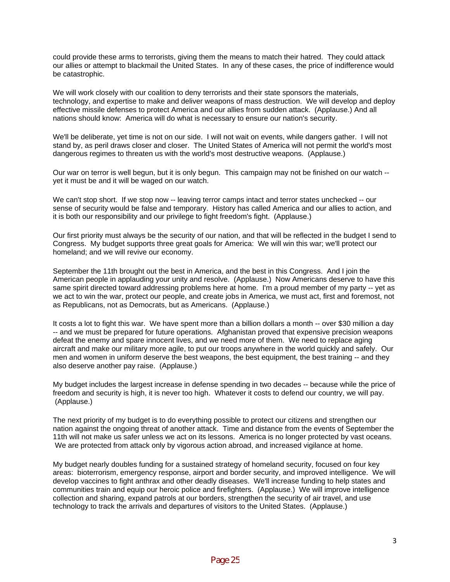could provide these arms to terrorists, giving them the means to match their hatred. They could attack our allies or attempt to blackmail the United States. In any of these cases, the price of indifference would be catastrophic.

We will work closely with our coalition to deny terrorists and their state sponsors the materials, technology, and expertise to make and deliver weapons of mass destruction. We will develop and deploy effective missile defenses to protect America and our allies from sudden attack. (Applause.) And all nations should know: America will do what is necessary to ensure our nation's security.

We'll be deliberate, yet time is not on our side. I will not wait on events, while dangers gather. I will not stand by, as peril draws closer and closer. The United States of America will not permit the world's most dangerous regimes to threaten us with the world's most destructive weapons. (Applause.)

Our war on terror is well begun, but it is only begun. This campaign may not be finished on our watch - yet it must be and it will be waged on our watch.

We can't stop short. If we stop now -- leaving terror camps intact and terror states unchecked -- our sense of security would be false and temporary. History has called America and our allies to action, and it is both our responsibility and our privilege to fight freedom's fight. (Applause.)

Our first priority must always be the security of our nation, and that will be reflected in the budget I send to Congress. My budget supports three great goals for America: We will win this war; we'll protect our homeland; and we will revive our economy.

September the 11th brought out the best in America, and the best in this Congress. And I join the American people in applauding your unity and resolve. (Applause.) Now Americans deserve to have this same spirit directed toward addressing problems here at home. I'm a proud member of my party -- yet as we act to win the war, protect our people, and create jobs in America, we must act, first and foremost, not as Republicans, not as Democrats, but as Americans. (Applause.)

It costs a lot to fight this war. We have spent more than a billion dollars a month -- over \$30 million a day -- and we must be prepared for future operations. Afghanistan proved that expensive precision weapons defeat the enemy and spare innocent lives, and we need more of them. We need to replace aging aircraft and make our military more agile, to put our troops anywhere in the world quickly and safely. Our men and women in uniform deserve the best weapons, the best equipment, the best training -- and they also deserve another pay raise. (Applause.)

My budget includes the largest increase in defense spending in two decades -- because while the price of freedom and security is high, it is never too high. Whatever it costs to defend our country, we will pay. (Applause.)

The next priority of my budget is to do everything possible to protect our citizens and strengthen our nation against the ongoing threat of another attack. Time and distance from the events of September the 11th will not make us safer unless we act on its lessons. America is no longer protected by vast oceans. We are protected from attack only by vigorous action abroad, and increased vigilance at home.

My budget nearly doubles funding for a sustained strategy of homeland security, focused on four key areas: bioterrorism, emergency response, airport and border security, and improved intelligence. We will develop vaccines to fight anthrax and other deadly diseases. We'll increase funding to help states and communities train and equip our heroic police and firefighters. (Applause.) We will improve intelligence collection and sharing, expand patrols at our borders, strengthen the security of air travel, and use technology to track the arrivals and departures of visitors to the United States. (Applause.)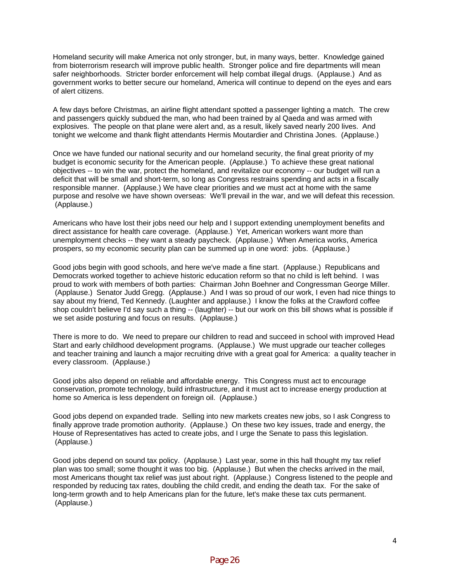Homeland security will make America not only stronger, but, in many ways, better. Knowledge gained from bioterrorism research will improve public health. Stronger police and fire departments will mean safer neighborhoods. Stricter border enforcement will help combat illegal drugs. (Applause.) And as government works to better secure our homeland, America will continue to depend on the eyes and ears of alert citizens.

A few days before Christmas, an airline flight attendant spotted a passenger lighting a match. The crew and passengers quickly subdued the man, who had been trained by al Qaeda and was armed with explosives. The people on that plane were alert and, as a result, likely saved nearly 200 lives. And tonight we welcome and thank flight attendants Hermis Moutardier and Christina Jones. (Applause.)

Once we have funded our national security and our homeland security, the final great priority of my budget is economic security for the American people. (Applause.) To achieve these great national objectives -- to win the war, protect the homeland, and revitalize our economy -- our budget will run a deficit that will be small and short-term, so long as Congress restrains spending and acts in a fiscally responsible manner. (Applause.) We have clear priorities and we must act at home with the same purpose and resolve we have shown overseas: We'll prevail in the war, and we will defeat this recession. (Applause.)

Americans who have lost their jobs need our help and I support extending unemployment benefits and direct assistance for health care coverage. (Applause.) Yet, American workers want more than unemployment checks -- they want a steady paycheck. (Applause.) When America works, America prospers, so my economic security plan can be summed up in one word: jobs. (Applause.)

Good jobs begin with good schools, and here we've made a fine start. (Applause.) Republicans and Democrats worked together to achieve historic education reform so that no child is left behind. I was proud to work with members of both parties: Chairman John Boehner and Congressman George Miller. (Applause.) Senator Judd Gregg. (Applause.) And I was so proud of our work, I even had nice things to say about my friend, Ted Kennedy. (Laughter and applause.) I know the folks at the Crawford coffee shop couldn't believe I'd say such a thing -- (laughter) -- but our work on this bill shows what is possible if we set aside posturing and focus on results. (Applause.)

There is more to do. We need to prepare our children to read and succeed in school with improved Head Start and early childhood development programs. (Applause.) We must upgrade our teacher colleges and teacher training and launch a major recruiting drive with a great goal for America: a quality teacher in every classroom. (Applause.)

Good jobs also depend on reliable and affordable energy. This Congress must act to encourage conservation, promote technology, build infrastructure, and it must act to increase energy production at home so America is less dependent on foreign oil. (Applause.)

Good jobs depend on expanded trade. Selling into new markets creates new jobs, so I ask Congress to finally approve trade promotion authority. (Applause.) On these two key issues, trade and energy, the House of Representatives has acted to create jobs, and I urge the Senate to pass this legislation. (Applause.)

Good jobs depend on sound tax policy. (Applause.) Last year, some in this hall thought my tax relief plan was too small; some thought it was too big. (Applause.) But when the checks arrived in the mail, most Americans thought tax relief was just about right. (Applause.) Congress listened to the people and responded by reducing tax rates, doubling the child credit, and ending the death tax. For the sake of long-term growth and to help Americans plan for the future, let's make these tax cuts permanent. (Applause.)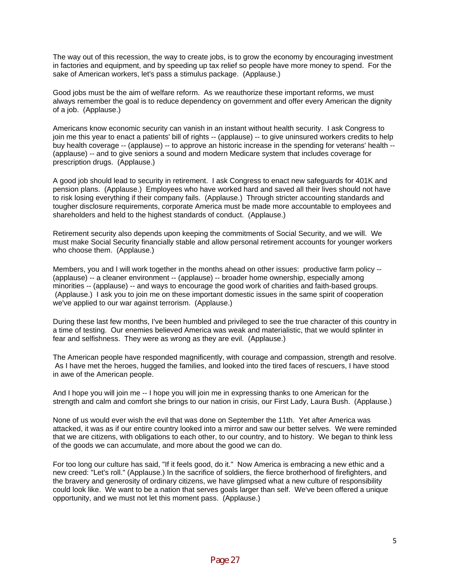The way out of this recession, the way to create jobs, is to grow the economy by encouraging investment in factories and equipment, and by speeding up tax relief so people have more money to spend. For the sake of American workers, let's pass a stimulus package. (Applause.)

Good jobs must be the aim of welfare reform. As we reauthorize these important reforms, we must always remember the goal is to reduce dependency on government and offer every American the dignity of a job. (Applause.)

Americans know economic security can vanish in an instant without health security. I ask Congress to join me this year to enact a patients' bill of rights -- (applause) -- to give uninsured workers credits to help buy health coverage -- (applause) -- to approve an historic increase in the spending for veterans' health -- (applause) -- and to give seniors a sound and modern Medicare system that includes coverage for prescription drugs. (Applause.)

A good job should lead to security in retirement. I ask Congress to enact new safeguards for 401K and pension plans. (Applause.) Employees who have worked hard and saved all their lives should not have to risk losing everything if their company fails. (Applause.) Through stricter accounting standards and tougher disclosure requirements, corporate America must be made more accountable to employees and shareholders and held to the highest standards of conduct. (Applause.)

Retirement security also depends upon keeping the commitments of Social Security, and we will. We must make Social Security financially stable and allow personal retirement accounts for younger workers who choose them. (Applause.)

Members, you and I will work together in the months ahead on other issues: productive farm policy -- (applause) -- a cleaner environment -- (applause) -- broader home ownership, especially among minorities -- (applause) -- and ways to encourage the good work of charities and faith-based groups. (Applause.) I ask you to join me on these important domestic issues in the same spirit of cooperation we've applied to our war against terrorism. (Applause.)

During these last few months, I've been humbled and privileged to see the true character of this country in a time of testing. Our enemies believed America was weak and materialistic, that we would splinter in fear and selfishness. They were as wrong as they are evil. (Applause.)

The American people have responded magnificently, with courage and compassion, strength and resolve. As I have met the heroes, hugged the families, and looked into the tired faces of rescuers, I have stood in awe of the American people.

And I hope you will join me -- I hope you will join me in expressing thanks to one American for the strength and calm and comfort she brings to our nation in crisis, our First Lady, Laura Bush. (Applause.)

None of us would ever wish the evil that was done on September the 11th. Yet after America was attacked, it was as if our entire country looked into a mirror and saw our better selves. We were reminded that we are citizens, with obligations to each other, to our country, and to history. We began to think less of the goods we can accumulate, and more about the good we can do.

For too long our culture has said, "If it feels good, do it." Now America is embracing a new ethic and a new creed: "Let's roll." (Applause.) In the sacrifice of soldiers, the fierce brotherhood of firefighters, and the bravery and generosity of ordinary citizens, we have glimpsed what a new culture of responsibility could look like. We want to be a nation that serves goals larger than self. We've been offered a unique opportunity, and we must not let this moment pass. (Applause.)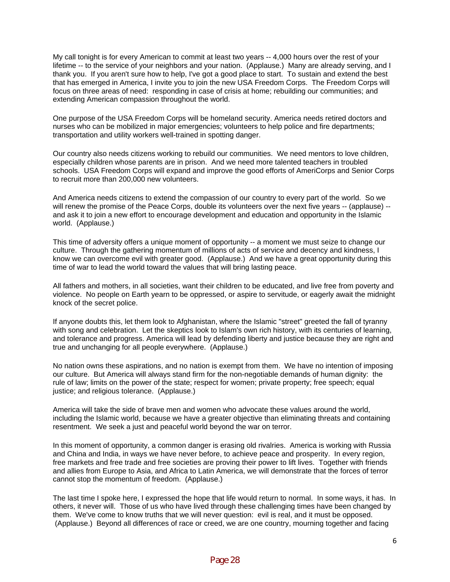My call tonight is for every American to commit at least two years -- 4,000 hours over the rest of your lifetime -- to the service of your neighbors and your nation. (Applause.) Many are already serving, and I thank you. If you aren't sure how to help, I've got a good place to start. To sustain and extend the best that has emerged in America, I invite you to join the new USA Freedom Corps. The Freedom Corps will focus on three areas of need: responding in case of crisis at home; rebuilding our communities; and extending American compassion throughout the world.

One purpose of the USA Freedom Corps will be homeland security. America needs retired doctors and nurses who can be mobilized in major emergencies; volunteers to help police and fire departments; transportation and utility workers well-trained in spotting danger.

Our country also needs citizens working to rebuild our communities. We need mentors to love children, especially children whose parents are in prison. And we need more talented teachers in troubled schools. USA Freedom Corps will expand and improve the good efforts of AmeriCorps and Senior Corps to recruit more than 200,000 new volunteers.

And America needs citizens to extend the compassion of our country to every part of the world. So we will renew the promise of the Peace Corps, double its volunteers over the next five years -- (applause) -and ask it to join a new effort to encourage development and education and opportunity in the Islamic world. (Applause.)

This time of adversity offers a unique moment of opportunity -- a moment we must seize to change our culture. Through the gathering momentum of millions of acts of service and decency and kindness, I know we can overcome evil with greater good. (Applause.) And we have a great opportunity during this time of war to lead the world toward the values that will bring lasting peace.

All fathers and mothers, in all societies, want their children to be educated, and live free from poverty and violence. No people on Earth yearn to be oppressed, or aspire to servitude, or eagerly await the midnight knock of the secret police.

If anyone doubts this, let them look to Afghanistan, where the Islamic "street" greeted the fall of tyranny with song and celebration. Let the skeptics look to Islam's own rich history, with its centuries of learning, and tolerance and progress. America will lead by defending liberty and justice because they are right and true and unchanging for all people everywhere. (Applause.)

No nation owns these aspirations, and no nation is exempt from them. We have no intention of imposing our culture. But America will always stand firm for the non-negotiable demands of human dignity: the rule of law; limits on the power of the state; respect for women; private property; free speech; equal justice; and religious tolerance. (Applause.)

America will take the side of brave men and women who advocate these values around the world, including the Islamic world, because we have a greater objective than eliminating threats and containing resentment. We seek a just and peaceful world beyond the war on terror.

In this moment of opportunity, a common danger is erasing old rivalries. America is working with Russia and China and India, in ways we have never before, to achieve peace and prosperity. In every region, free markets and free trade and free societies are proving their power to lift lives. Together with friends and allies from Europe to Asia, and Africa to Latin America, we will demonstrate that the forces of terror cannot stop the momentum of freedom. (Applause.)

The last time I spoke here, I expressed the hope that life would return to normal. In some ways, it has. In others, it never will. Those of us who have lived through these challenging times have been changed by them. We've come to know truths that we will never question: evil is real, and it must be opposed. (Applause.) Beyond all differences of race or creed, we are one country, mourning together and facing